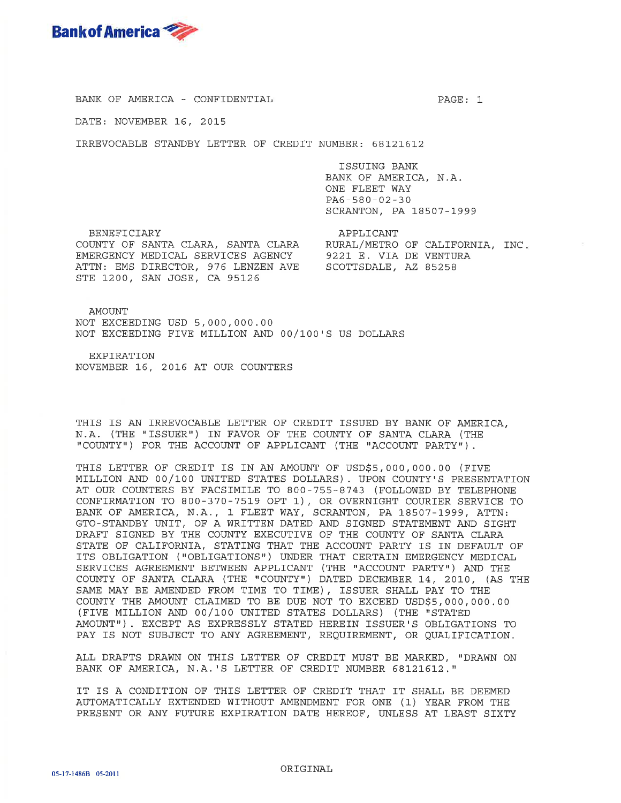

BANK OF AMERICA - CONFIDENTIAL

DATE: NOVEMBER 16, 2015

IRREVOCABLE STANDBY LETTER OF CREDIT NUMBER: 68121612

ISSUING BANK BANK OF AMERICA, N.A. ONE FLEET WAY  $PA6 - 580 - 02 - 30$ SCRANTON, PA 18507-1999

**BENEFICIARY** COUNTY OF SANTA CLARA, SANTA CLARA RURAL/METRO OF CALIFORNIA, INC.<br>EMERGENCY MEDICAL SERVICES AGENCY 9221 E. VIA DE VENTURA ATTN: EMS DIRECTOR, 976 LENZEN AVE SCOTTSDALE, AZ 85258 STE 1200, SAN JOSE, CA 95126

APPLICANT

PAGE: 1

AMOUNT NOT EXCEEDING USD 5,000,000.00 NOT EXCEEDING FIVE MILLION AND 00/100'S US DOLLARS

**EXPIRATION** NOVEMBER 16, 2016 AT OUR COUNTERS

THIS IS AN IRREVOCABLE LETTER OF CREDIT ISSUED BY BANK OF AMERICA, N.A. (THE "ISSUER") IN FAVOR OF THE COUNTY OF SANTA CLARA (THE "COUNTY") FOR THE ACCOUNT OF APPLICANT (THE "ACCOUNT PARTY").

THIS LETTER OF CREDIT IS IN AN AMOUNT OF USD\$5,000,000.00 (FIVE MILLION AND 00/100 UNITED STATES DOLLARS). UPON COUNTY'S PRESENTATION AT OUR COUNTERS BY FACSIMILE TO 800-755-8743 (FOLLOWED BY TELEPHONE CONFIRMATION TO 800-370-7519 OPT 1), OR OVERNIGHT COURIER SERVICE TO BANK OF AMERICA, N.A., 1 FLEET WAY, SCRANTON, PA 18507-1999, ATTN: GTO-STANDBY UNIT, OF A WRITTEN DATED AND SIGNED STATEMENT AND SIGHT DRAFT SIGNED BY THE COUNTY EXECUTIVE OF THE COUNTY OF SANTA CLARA STATE OF CALIFORNIA, STATING THAT THE ACCOUNT PARTY IS IN DEFAULT OF ITS OBLIGATION ("OBLIGATIONS") UNDER THAT CERTAIN EMERGENCY MEDICAL SERVICES AGREEMENT BETWEEN APPLICANT (THE "ACCOUNT PARTY") AND THE COUNTY OF SANTA CLARA (THE "COUNTY") DATED DECEMBER 14, 2010, (AS THE SAME MAY BE AMENDED FROM TIME TO TIME), ISSUER SHALL PAY TO THE COUNTY THE AMOUNT CLAIMED TO BE DUE NOT TO EXCEED USD\$5,000,000.00 (FIVE MILLION AND 00/100 UNITED STATES DOLLARS) (THE "STATED AMOUNT"). EXCEPT AS EXPRESSLY STATED HEREIN ISSUER'S OBLIGATIONS TO PAY IS NOT SUBJECT TO ANY AGREEMENT, REQUIREMENT, OR QUALIFICATION.

ALL DRAFTS DRAWN ON THIS LETTER OF CREDIT MUST BE MARKED, "DRAWN ON BANK OF AMERICA, N.A.'S LETTER OF CREDIT NUMBER 68121612."

IT IS A CONDITION OF THIS LETTER OF CREDIT THAT IT SHALL BE DEEMED AUTOMATICALLY EXTENDED WITHOUT AMENDMENT FOR ONE (1) YEAR FROM THE PRESENT OR ANY FUTURE EXPIRATION DATE HEREOF, UNLESS AT LEAST SIXTY